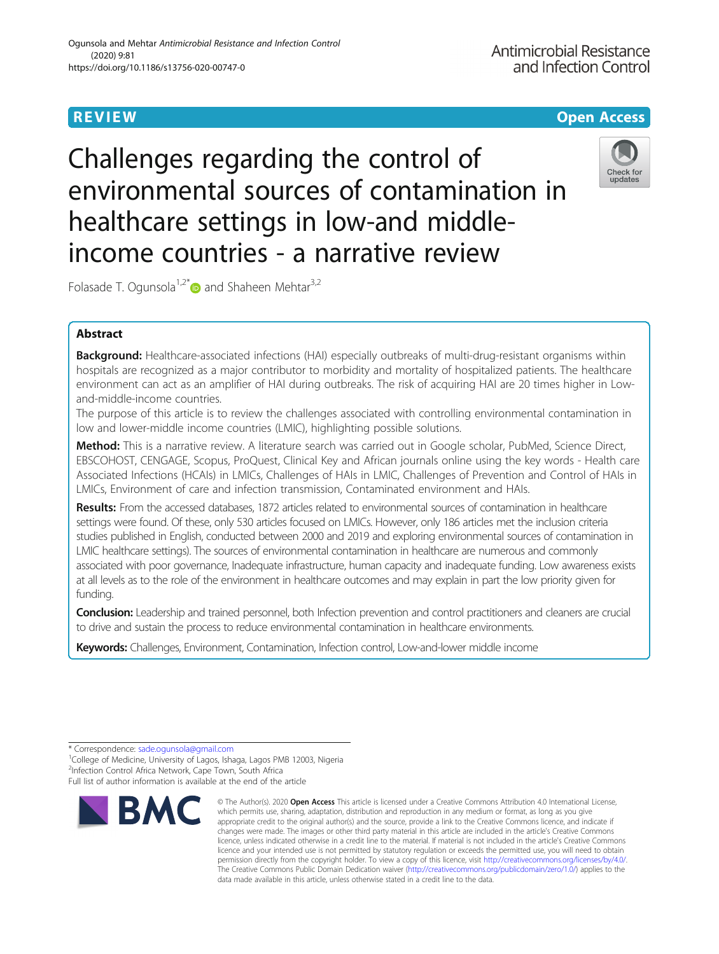# **REVIEW CONTROL** CONTROL CONTROL CONTROL CONTROL CONTROL CONTROL CONTROL CONTROL CONTROL CONTROL CONTROL CONTROL

Challenges regarding the control of environmental sources of contamination in healthcare settings in low-and middleincome countries - a narrative review



Folasade T. Ogunsola<sup>1,2\*</sup> and Shaheen Mehtar<sup>3,2</sup>

# Abstract

Background: Healthcare-associated infections (HAI) especially outbreaks of multi-drug-resistant organisms within hospitals are recognized as a major contributor to morbidity and mortality of hospitalized patients. The healthcare environment can act as an amplifier of HAI during outbreaks. The risk of acquiring HAI are 20 times higher in Lowand-middle-income countries.

The purpose of this article is to review the challenges associated with controlling environmental contamination in low and lower-middle income countries (LMIC), highlighting possible solutions.

Method: This is a narrative review. A literature search was carried out in Google scholar, PubMed, Science Direct, EBSCOHOST, CENGAGE, Scopus, ProQuest, Clinical Key and African journals online using the key words - Health care Associated Infections (HCAIs) in LMICs, Challenges of HAIs in LMIC, Challenges of Prevention and Control of HAIs in LMICs, Environment of care and infection transmission, Contaminated environment and HAIs.

Results: From the accessed databases, 1872 articles related to environmental sources of contamination in healthcare settings were found. Of these, only 530 articles focused on LMICs. However, only 186 articles met the inclusion criteria studies published in English, conducted between 2000 and 2019 and exploring environmental sources of contamination in LMIC healthcare settings). The sources of environmental contamination in healthcare are numerous and commonly associated with poor governance, Inadequate infrastructure, human capacity and inadequate funding. Low awareness exists at all levels as to the role of the environment in healthcare outcomes and may explain in part the low priority given for funding.

**Conclusion:** Leadership and trained personnel, both Infection prevention and control practitioners and cleaners are crucial to drive and sustain the process to reduce environmental contamination in healthcare environments.

Keywords: Challenges, Environment, Contamination, Infection control, Low-and-lower middle income

<sup>&</sup>lt;sup>1</sup>College of Medicine, University of Lagos, Ishaga, Lagos PMB 12003, Nigeria 2 Infection Control Africa Network, Cape Town, South Africa Full list of author information is available at the end of the article



<sup>©</sup> The Author(s), 2020 **Open Access** This article is licensed under a Creative Commons Attribution 4.0 International License, which permits use, sharing, adaptation, distribution and reproduction in any medium or format, as long as you give appropriate credit to the original author(s) and the source, provide a link to the Creative Commons licence, and indicate if changes were made. The images or other third party material in this article are included in the article's Creative Commons licence, unless indicated otherwise in a credit line to the material. If material is not included in the article's Creative Commons licence and your intended use is not permitted by statutory regulation or exceeds the permitted use, you will need to obtain permission directly from the copyright holder. To view a copy of this licence, visit [http://creativecommons.org/licenses/by/4.0/.](http://creativecommons.org/licenses/by/4.0/) The Creative Commons Public Domain Dedication waiver [\(http://creativecommons.org/publicdomain/zero/1.0/](http://creativecommons.org/publicdomain/zero/1.0/)) applies to the data made available in this article, unless otherwise stated in a credit line to the data.

<sup>\*</sup> Correspondence: [sade.ogunsola@gmail.com](mailto:sade.ogunsola@gmail.com) <sup>1</sup>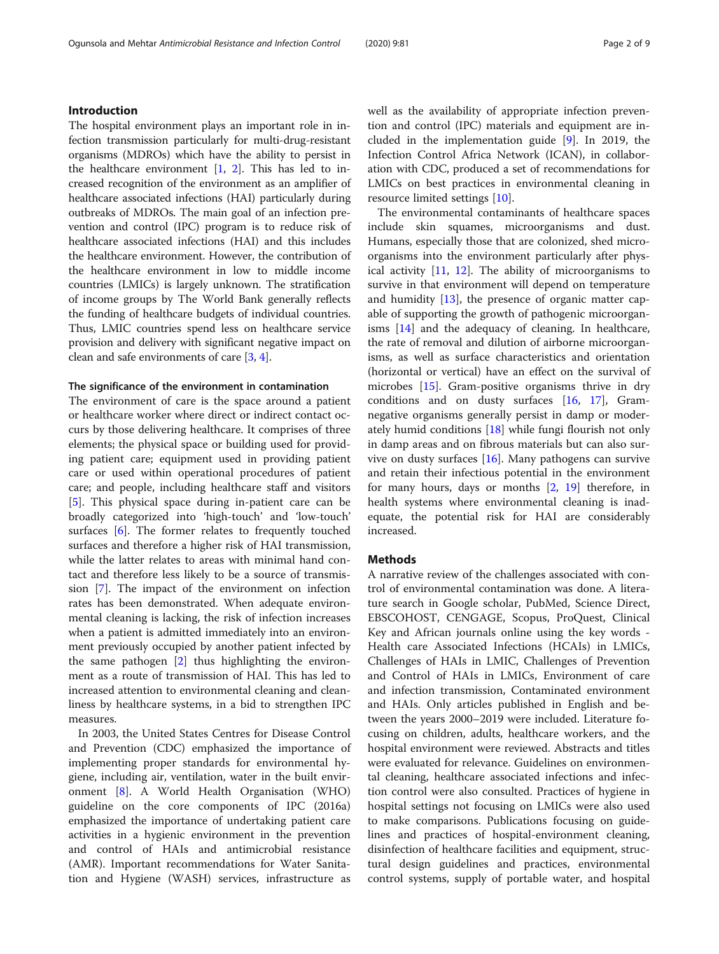The hospital environment plays an important role in infection transmission particularly for multi-drug-resistant organisms (MDROs) which have the ability to persist in the healthcare environment [\[1](#page-6-0), [2](#page-6-0)]. This has led to increased recognition of the environment as an amplifier of healthcare associated infections (HAI) particularly during outbreaks of MDROs. The main goal of an infection prevention and control (IPC) program is to reduce risk of healthcare associated infections (HAI) and this includes the healthcare environment. However, the contribution of the healthcare environment in low to middle income countries (LMICs) is largely unknown. The stratification of income groups by The World Bank generally reflects the funding of healthcare budgets of individual countries. Thus, LMIC countries spend less on healthcare service provision and delivery with significant negative impact on clean and safe environments of care [\[3](#page-6-0), [4\]](#page-6-0).

## The significance of the environment in contamination

The environment of care is the space around a patient or healthcare worker where direct or indirect contact occurs by those delivering healthcare. It comprises of three elements; the physical space or building used for providing patient care; equipment used in providing patient care or used within operational procedures of patient care; and people, including healthcare staff and visitors [[5\]](#page-6-0). This physical space during in-patient care can be broadly categorized into 'high-touch' and 'low-touch' surfaces [\[6](#page-6-0)]. The former relates to frequently touched surfaces and therefore a higher risk of HAI transmission, while the latter relates to areas with minimal hand contact and therefore less likely to be a source of transmission [[7\]](#page-6-0). The impact of the environment on infection rates has been demonstrated. When adequate environmental cleaning is lacking, the risk of infection increases when a patient is admitted immediately into an environment previously occupied by another patient infected by the same pathogen [\[2](#page-6-0)] thus highlighting the environment as a route of transmission of HAI. This has led to increased attention to environmental cleaning and cleanliness by healthcare systems, in a bid to strengthen IPC measures.

In 2003, the United States Centres for Disease Control and Prevention (CDC) emphasized the importance of implementing proper standards for environmental hygiene, including air, ventilation, water in the built environment [[8\]](#page-7-0). A World Health Organisation (WHO) guideline on the core components of IPC (2016a) emphasized the importance of undertaking patient care activities in a hygienic environment in the prevention and control of HAIs and antimicrobial resistance (AMR). Important recommendations for Water Sanitation and Hygiene (WASH) services, infrastructure as well as the availability of appropriate infection prevention and control (IPC) materials and equipment are included in the implementation guide [\[9](#page-7-0)]. In 2019, the Infection Control Africa Network (ICAN), in collaboration with CDC, produced a set of recommendations for LMICs on best practices in environmental cleaning in resource limited settings [\[10\]](#page-7-0).

The environmental contaminants of healthcare spaces include skin squames, microorganisms and dust. Humans, especially those that are colonized, shed microorganisms into the environment particularly after physical activity [\[11](#page-7-0), [12\]](#page-7-0). The ability of microorganisms to survive in that environment will depend on temperature and humidity [[13\]](#page-7-0), the presence of organic matter capable of supporting the growth of pathogenic microorganisms [[14\]](#page-7-0) and the adequacy of cleaning. In healthcare, the rate of removal and dilution of airborne microorganisms, as well as surface characteristics and orientation (horizontal or vertical) have an effect on the survival of microbes [[15\]](#page-7-0). Gram-positive organisms thrive in dry conditions and on dusty surfaces [\[16,](#page-7-0) [17\]](#page-7-0), Gramnegative organisms generally persist in damp or moderately humid conditions [\[18](#page-7-0)] while fungi flourish not only in damp areas and on fibrous materials but can also survive on dusty surfaces [\[16](#page-7-0)]. Many pathogens can survive and retain their infectious potential in the environment for many hours, days or months [[2,](#page-6-0) [19\]](#page-7-0) therefore, in health systems where environmental cleaning is inadequate, the potential risk for HAI are considerably increased.

# Methods

A narrative review of the challenges associated with control of environmental contamination was done. A literature search in Google scholar, PubMed, Science Direct, EBSCOHOST, CENGAGE, Scopus, ProQuest, Clinical Key and African journals online using the key words - Health care Associated Infections (HCAIs) in LMICs, Challenges of HAIs in LMIC, Challenges of Prevention and Control of HAIs in LMICs, Environment of care and infection transmission, Contaminated environment and HAIs. Only articles published in English and between the years 2000–2019 were included. Literature focusing on children, adults, healthcare workers, and the hospital environment were reviewed. Abstracts and titles were evaluated for relevance. Guidelines on environmental cleaning, healthcare associated infections and infection control were also consulted. Practices of hygiene in hospital settings not focusing on LMICs were also used to make comparisons. Publications focusing on guidelines and practices of hospital-environment cleaning, disinfection of healthcare facilities and equipment, structural design guidelines and practices, environmental control systems, supply of portable water, and hospital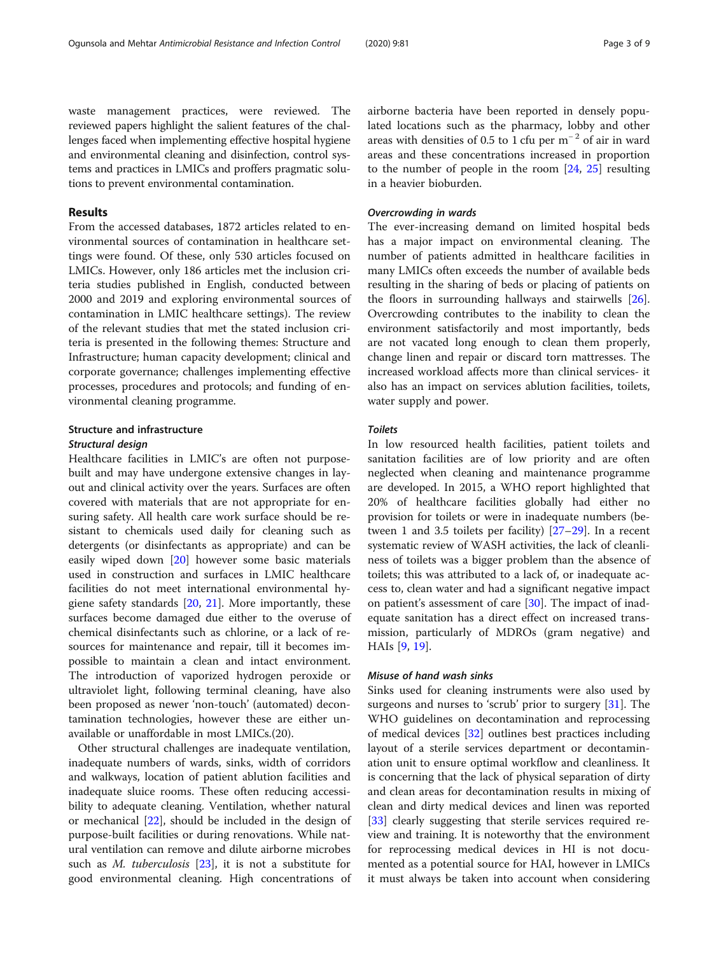waste management practices, were reviewed. The reviewed papers highlight the salient features of the challenges faced when implementing effective hospital hygiene and environmental cleaning and disinfection, control systems and practices in LMICs and proffers pragmatic solutions to prevent environmental contamination.

# Results

From the accessed databases, 1872 articles related to environmental sources of contamination in healthcare settings were found. Of these, only 530 articles focused on LMICs. However, only 186 articles met the inclusion criteria studies published in English, conducted between 2000 and 2019 and exploring environmental sources of contamination in LMIC healthcare settings). The review of the relevant studies that met the stated inclusion criteria is presented in the following themes: Structure and Infrastructure; human capacity development; clinical and corporate governance; challenges implementing effective processes, procedures and protocols; and funding of environmental cleaning programme.

# Structure and infrastructure

## Structural design

Healthcare facilities in LMIC's are often not purposebuilt and may have undergone extensive changes in layout and clinical activity over the years. Surfaces are often covered with materials that are not appropriate for ensuring safety. All health care work surface should be resistant to chemicals used daily for cleaning such as detergents (or disinfectants as appropriate) and can be easily wiped down [\[20\]](#page-7-0) however some basic materials used in construction and surfaces in LMIC healthcare facilities do not meet international environmental hygiene safety standards [[20,](#page-7-0) [21](#page-7-0)]. More importantly, these surfaces become damaged due either to the overuse of chemical disinfectants such as chlorine, or a lack of resources for maintenance and repair, till it becomes impossible to maintain a clean and intact environment. The introduction of vaporized hydrogen peroxide or ultraviolet light, following terminal cleaning, have also been proposed as newer 'non-touch' (automated) decontamination technologies, however these are either unavailable or unaffordable in most LMICs.(20).

Other structural challenges are inadequate ventilation, inadequate numbers of wards, sinks, width of corridors and walkways, location of patient ablution facilities and inadequate sluice rooms. These often reducing accessibility to adequate cleaning. Ventilation, whether natural or mechanical [\[22](#page-7-0)], should be included in the design of purpose-built facilities or during renovations. While natural ventilation can remove and dilute airborne microbes such as *M. tuberculosis*  $[23]$ , it is not a substitute for good environmental cleaning. High concentrations of

airborne bacteria have been reported in densely populated locations such as the pharmacy, lobby and other areas with densities of 0.5 to 1 cfu per  $m^{-2}$  of air in ward areas and these concentrations increased in proportion to the number of people in the room [\[24](#page-7-0), [25\]](#page-7-0) resulting in a heavier bioburden.

## Overcrowding in wards

The ever-increasing demand on limited hospital beds has a major impact on environmental cleaning. The number of patients admitted in healthcare facilities in many LMICs often exceeds the number of available beds resulting in the sharing of beds or placing of patients on the floors in surrounding hallways and stairwells [\[26](#page-7-0)]. Overcrowding contributes to the inability to clean the environment satisfactorily and most importantly, beds are not vacated long enough to clean them properly, change linen and repair or discard torn mattresses. The increased workload affects more than clinical services- it also has an impact on services ablution facilities, toilets, water supply and power.

## Toilets

In low resourced health facilities, patient toilets and sanitation facilities are of low priority and are often neglected when cleaning and maintenance programme are developed. In 2015, a WHO report highlighted that 20% of healthcare facilities globally had either no provision for toilets or were in inadequate numbers (between 1 and 3.5 toilets per facility) [\[27](#page-7-0)–[29\]](#page-7-0). In a recent systematic review of WASH activities, the lack of cleanliness of toilets was a bigger problem than the absence of toilets; this was attributed to a lack of, or inadequate access to, clean water and had a significant negative impact on patient's assessment of care [[30\]](#page-7-0). The impact of inadequate sanitation has a direct effect on increased transmission, particularly of MDROs (gram negative) and HAIs [\[9](#page-7-0), [19](#page-7-0)].

## Misuse of hand wash sinks

Sinks used for cleaning instruments were also used by surgeons and nurses to 'scrub' prior to surgery [[31\]](#page-7-0). The WHO guidelines on decontamination and reprocessing of medical devices [[32\]](#page-7-0) outlines best practices including layout of a sterile services department or decontamination unit to ensure optimal workflow and cleanliness. It is concerning that the lack of physical separation of dirty and clean areas for decontamination results in mixing of clean and dirty medical devices and linen was reported [[33\]](#page-7-0) clearly suggesting that sterile services required review and training. It is noteworthy that the environment for reprocessing medical devices in HI is not documented as a potential source for HAI, however in LMICs it must always be taken into account when considering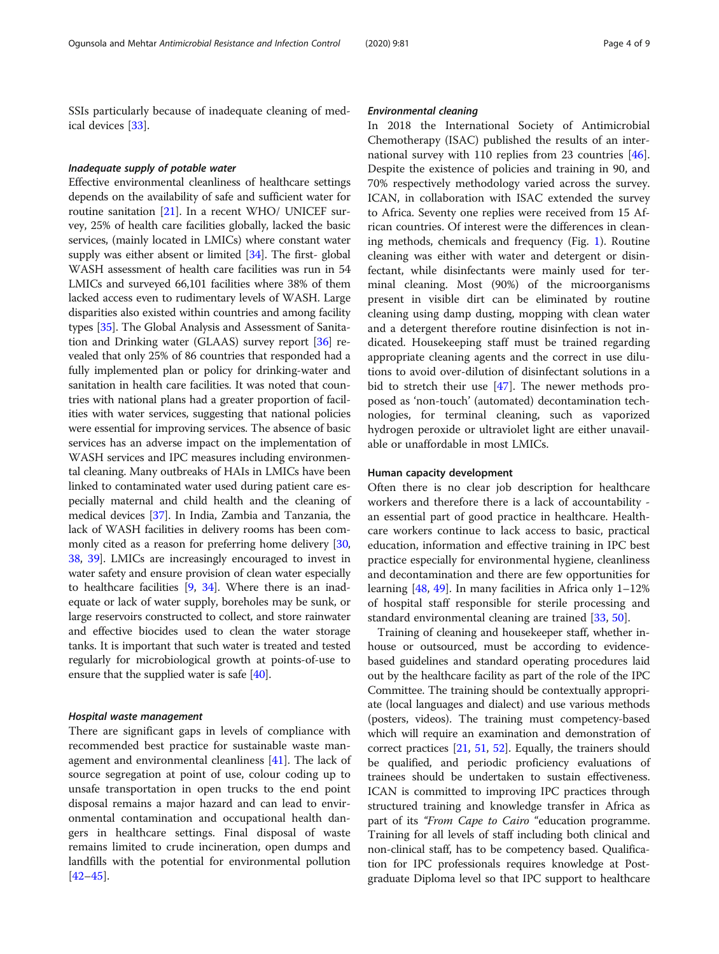SSIs particularly because of inadequate cleaning of medical devices [[33\]](#page-7-0).

#### Inadequate supply of potable water

Effective environmental cleanliness of healthcare settings depends on the availability of safe and sufficient water for routine sanitation [[21](#page-7-0)]. In a recent WHO/ UNICEF survey, 25% of health care facilities globally, lacked the basic services, (mainly located in LMICs) where constant water supply was either absent or limited [\[34](#page-7-0)]. The first- global WASH assessment of health care facilities was run in 54 LMICs and surveyed 66,101 facilities where 38% of them lacked access even to rudimentary levels of WASH. Large disparities also existed within countries and among facility types [\[35\]](#page-7-0). The Global Analysis and Assessment of Sanitation and Drinking water (GLAAS) survey report [[36](#page-7-0)] revealed that only 25% of 86 countries that responded had a fully implemented plan or policy for drinking-water and sanitation in health care facilities. It was noted that countries with national plans had a greater proportion of facilities with water services, suggesting that national policies were essential for improving services. The absence of basic services has an adverse impact on the implementation of WASH services and IPC measures including environmental cleaning. Many outbreaks of HAIs in LMICs have been linked to contaminated water used during patient care especially maternal and child health and the cleaning of medical devices [[37](#page-7-0)]. In India, Zambia and Tanzania, the lack of WASH facilities in delivery rooms has been commonly cited as a reason for preferring home delivery [[30](#page-7-0), [38](#page-7-0), [39](#page-7-0)]. LMICs are increasingly encouraged to invest in water safety and ensure provision of clean water especially to healthcare facilities [[9,](#page-7-0) [34](#page-7-0)]. Where there is an inadequate or lack of water supply, boreholes may be sunk, or large reservoirs constructed to collect, and store rainwater and effective biocides used to clean the water storage tanks. It is important that such water is treated and tested regularly for microbiological growth at points-of-use to ensure that the supplied water is safe [[40\]](#page-7-0).

#### Hospital waste management

There are significant gaps in levels of compliance with recommended best practice for sustainable waste management and environmental cleanliness [\[41](#page-7-0)]. The lack of source segregation at point of use, colour coding up to unsafe transportation in open trucks to the end point disposal remains a major hazard and can lead to environmental contamination and occupational health dangers in healthcare settings. Final disposal of waste remains limited to crude incineration, open dumps and landfills with the potential for environmental pollution  $[42-45]$  $[42-45]$  $[42-45]$  $[42-45]$  $[42-45]$ .

## Environmental cleaning

In 2018 the International Society of Antimicrobial Chemotherapy (ISAC) published the results of an international survey with 110 replies from 23 countries [\[46](#page-7-0)]. Despite the existence of policies and training in 90, and 70% respectively methodology varied across the survey. ICAN, in collaboration with ISAC extended the survey to Africa. Seventy one replies were received from 15 African countries. Of interest were the differences in cleaning methods, chemicals and frequency (Fig. [1](#page-4-0)). Routine cleaning was either with water and detergent or disinfectant, while disinfectants were mainly used for terminal cleaning. Most (90%) of the microorganisms present in visible dirt can be eliminated by routine cleaning using damp dusting, mopping with clean water and a detergent therefore routine disinfection is not indicated. Housekeeping staff must be trained regarding appropriate cleaning agents and the correct in use dilutions to avoid over-dilution of disinfectant solutions in a bid to stretch their use [[47\]](#page-7-0). The newer methods proposed as 'non-touch' (automated) decontamination technologies, for terminal cleaning, such as vaporized hydrogen peroxide or ultraviolet light are either unavailable or unaffordable in most LMICs.

#### Human capacity development

Often there is no clear job description for healthcare workers and therefore there is a lack of accountability an essential part of good practice in healthcare. Healthcare workers continue to lack access to basic, practical education, information and effective training in IPC best practice especially for environmental hygiene, cleanliness and decontamination and there are few opportunities for learning [\[48,](#page-7-0) [49](#page-7-0)]. In many facilities in Africa only 1–12% of hospital staff responsible for sterile processing and standard environmental cleaning are trained [\[33](#page-7-0), [50\]](#page-7-0).

Training of cleaning and housekeeper staff, whether inhouse or outsourced, must be according to evidencebased guidelines and standard operating procedures laid out by the healthcare facility as part of the role of the IPC Committee. The training should be contextually appropriate (local languages and dialect) and use various methods (posters, videos). The training must competency-based which will require an examination and demonstration of correct practices [\[21,](#page-7-0) [51](#page-8-0), [52](#page-8-0)]. Equally, the trainers should be qualified, and periodic proficiency evaluations of trainees should be undertaken to sustain effectiveness. ICAN is committed to improving IPC practices through structured training and knowledge transfer in Africa as part of its "From Cape to Cairo "education programme. Training for all levels of staff including both clinical and non-clinical staff, has to be competency based. Qualification for IPC professionals requires knowledge at Postgraduate Diploma level so that IPC support to healthcare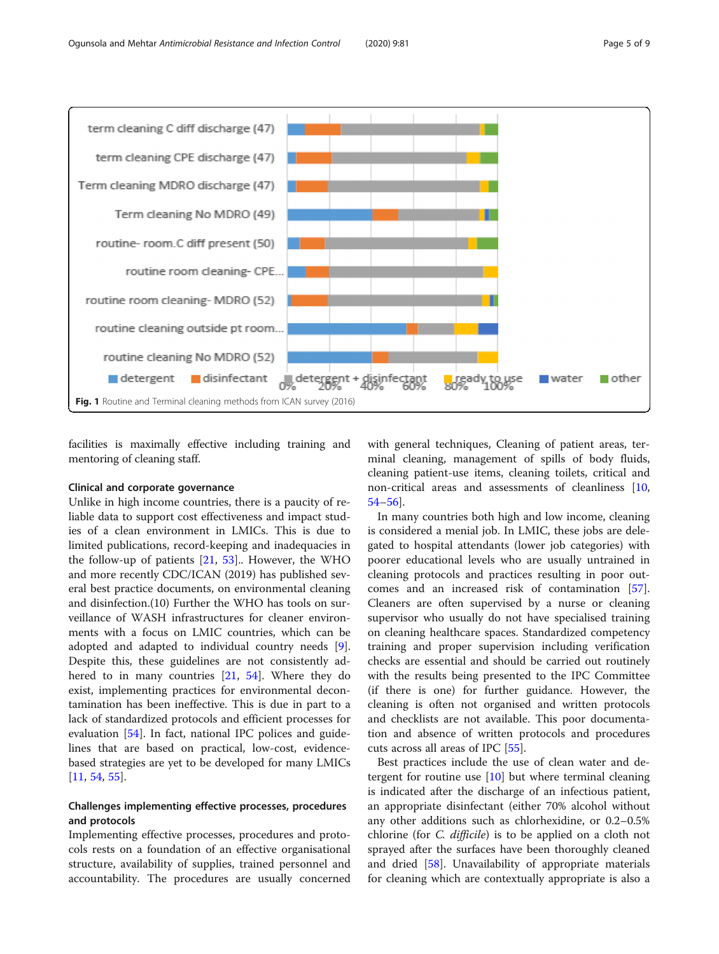<span id="page-4-0"></span>

facilities is maximally effective including training and mentoring of cleaning staff.

#### Clinical and corporate governance

Unlike in high income countries, there is a paucity of reliable data to support cost effectiveness and impact studies of a clean environment in LMICs. This is due to limited publications, record-keeping and inadequacies in the follow-up of patients  $[21, 53]$  $[21, 53]$  $[21, 53]$  $[21, 53]$ . However, the WHO and more recently CDC/ICAN (2019) has published several best practice documents, on environmental cleaning and disinfection.(10) Further the WHO has tools on surveillance of WASH infrastructures for cleaner environments with a focus on LMIC countries, which can be adopted and adapted to individual country needs [\[9](#page-7-0)]. Despite this, these guidelines are not consistently adhered to in many countries [\[21](#page-7-0), [54\]](#page-8-0). Where they do exist, implementing practices for environmental decontamination has been ineffective. This is due in part to a lack of standardized protocols and efficient processes for evaluation [[54](#page-8-0)]. In fact, national IPC polices and guidelines that are based on practical, low-cost, evidencebased strategies are yet to be developed for many LMICs [[11,](#page-7-0) [54,](#page-8-0) [55](#page-8-0)].

# Challenges implementing effective processes, procedures and protocols

Implementing effective processes, procedures and protocols rests on a foundation of an effective organisational structure, availability of supplies, trained personnel and accountability. The procedures are usually concerned

with general techniques, Cleaning of patient areas, terminal cleaning, management of spills of body fluids, cleaning patient-use items, cleaning toilets, critical and non-critical areas and assessments of cleanliness [[10](#page-7-0), [54](#page-8-0)–[56](#page-8-0)].

In many countries both high and low income, cleaning is considered a menial job. In LMIC, these jobs are delegated to hospital attendants (lower job categories) with poorer educational levels who are usually untrained in cleaning protocols and practices resulting in poor outcomes and an increased risk of contamination [\[57](#page-8-0)]. Cleaners are often supervised by a nurse or cleaning supervisor who usually do not have specialised training on cleaning healthcare spaces. Standardized competency training and proper supervision including verification checks are essential and should be carried out routinely with the results being presented to the IPC Committee (if there is one) for further guidance. However, the cleaning is often not organised and written protocols and checklists are not available. This poor documentation and absence of written protocols and procedures cuts across all areas of IPC [[55\]](#page-8-0).

Best practices include the use of clean water and detergent for routine use  $[10]$  $[10]$  but where terminal cleaning is indicated after the discharge of an infectious patient, an appropriate disinfectant (either 70% alcohol without any other additions such as chlorhexidine, or 0.2–0.5% chlorine (for C. difficile) is to be applied on a cloth not sprayed after the surfaces have been thoroughly cleaned and dried [[58](#page-8-0)]. Unavailability of appropriate materials for cleaning which are contextually appropriate is also a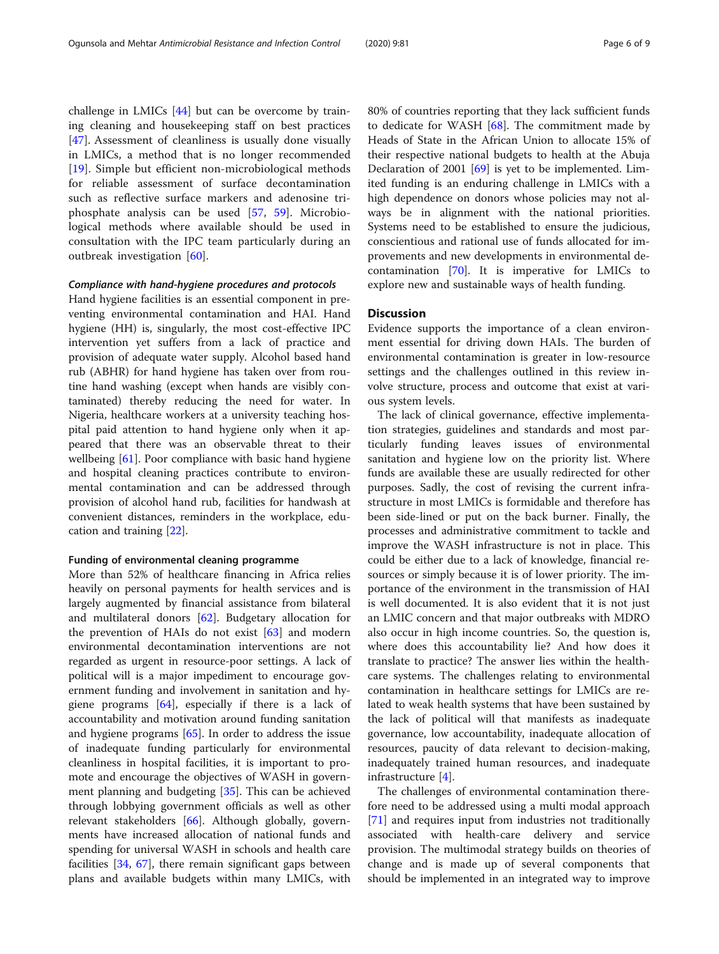challenge in LMICs [[44](#page-7-0)] but can be overcome by training cleaning and housekeeping staff on best practices [[47\]](#page-7-0). Assessment of cleanliness is usually done visually in LMICs, a method that is no longer recommended [[19\]](#page-7-0). Simple but efficient non-microbiological methods for reliable assessment of surface decontamination such as reflective surface markers and adenosine triphosphate analysis can be used [[57,](#page-8-0) [59\]](#page-8-0). Microbiological methods where available should be used in consultation with the IPC team particularly during an outbreak investigation [[60\]](#page-8-0).

#### Compliance with hand-hygiene procedures and protocols

Hand hygiene facilities is an essential component in preventing environmental contamination and HAI. Hand hygiene (HH) is, singularly, the most cost-effective IPC intervention yet suffers from a lack of practice and provision of adequate water supply. Alcohol based hand rub (ABHR) for hand hygiene has taken over from routine hand washing (except when hands are visibly contaminated) thereby reducing the need for water. In Nigeria, healthcare workers at a university teaching hospital paid attention to hand hygiene only when it appeared that there was an observable threat to their wellbeing [\[61](#page-8-0)]. Poor compliance with basic hand hygiene and hospital cleaning practices contribute to environmental contamination and can be addressed through provision of alcohol hand rub, facilities for handwash at convenient distances, reminders in the workplace, education and training [[22](#page-7-0)].

#### Funding of environmental cleaning programme

More than 52% of healthcare financing in Africa relies heavily on personal payments for health services and is largely augmented by financial assistance from bilateral and multilateral donors [[62](#page-8-0)]. Budgetary allocation for the prevention of HAIs do not exist [\[63](#page-8-0)] and modern environmental decontamination interventions are not regarded as urgent in resource-poor settings. A lack of political will is a major impediment to encourage government funding and involvement in sanitation and hygiene programs [\[64](#page-8-0)], especially if there is a lack of accountability and motivation around funding sanitation and hygiene programs [\[65](#page-8-0)]. In order to address the issue of inadequate funding particularly for environmental cleanliness in hospital facilities, it is important to promote and encourage the objectives of WASH in government planning and budgeting [\[35](#page-7-0)]. This can be achieved through lobbying government officials as well as other relevant stakeholders [[66](#page-8-0)]. Although globally, governments have increased allocation of national funds and spending for universal WASH in schools and health care facilities [[34,](#page-7-0) [67\]](#page-8-0), there remain significant gaps between plans and available budgets within many LMICs, with

80% of countries reporting that they lack sufficient funds to dedicate for WASH  $[68]$  $[68]$ . The commitment made by Heads of State in the African Union to allocate 15% of their respective national budgets to health at the Abuja Declaration of 2001 [\[69\]](#page-8-0) is yet to be implemented. Limited funding is an enduring challenge in LMICs with a high dependence on donors whose policies may not always be in alignment with the national priorities. Systems need to be established to ensure the judicious, conscientious and rational use of funds allocated for improvements and new developments in environmental decontamination [[70](#page-8-0)]. It is imperative for LMICs to explore new and sustainable ways of health funding.

# **Discussion**

Evidence supports the importance of a clean environment essential for driving down HAIs. The burden of environmental contamination is greater in low-resource settings and the challenges outlined in this review involve structure, process and outcome that exist at various system levels.

The lack of clinical governance, effective implementation strategies, guidelines and standards and most particularly funding leaves issues of environmental sanitation and hygiene low on the priority list. Where funds are available these are usually redirected for other purposes. Sadly, the cost of revising the current infrastructure in most LMICs is formidable and therefore has been side-lined or put on the back burner. Finally, the processes and administrative commitment to tackle and improve the WASH infrastructure is not in place. This could be either due to a lack of knowledge, financial resources or simply because it is of lower priority. The importance of the environment in the transmission of HAI is well documented. It is also evident that it is not just an LMIC concern and that major outbreaks with MDRO also occur in high income countries. So, the question is, where does this accountability lie? And how does it translate to practice? The answer lies within the healthcare systems. The challenges relating to environmental contamination in healthcare settings for LMICs are related to weak health systems that have been sustained by the lack of political will that manifests as inadequate governance, low accountability, inadequate allocation of resources, paucity of data relevant to decision-making, inadequately trained human resources, and inadequate infrastructure [[4\]](#page-6-0).

The challenges of environmental contamination therefore need to be addressed using a multi modal approach [[71\]](#page-8-0) and requires input from industries not traditionally associated with health-care delivery and service provision. The multimodal strategy builds on theories of change and is made up of several components that should be implemented in an integrated way to improve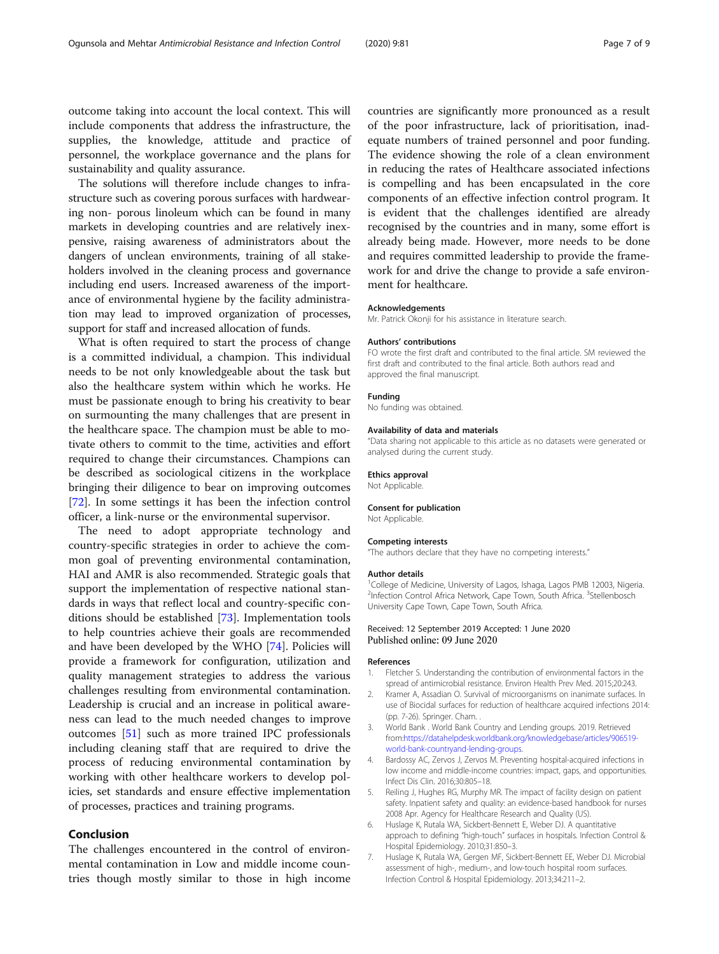<span id="page-6-0"></span>outcome taking into account the local context. This will include components that address the infrastructure, the supplies, the knowledge, attitude and practice of personnel, the workplace governance and the plans for sustainability and quality assurance.

The solutions will therefore include changes to infrastructure such as covering porous surfaces with hardwearing non- porous linoleum which can be found in many markets in developing countries and are relatively inexpensive, raising awareness of administrators about the dangers of unclean environments, training of all stakeholders involved in the cleaning process and governance including end users. Increased awareness of the importance of environmental hygiene by the facility administration may lead to improved organization of processes, support for staff and increased allocation of funds.

What is often required to start the process of change is a committed individual, a champion. This individual needs to be not only knowledgeable about the task but also the healthcare system within which he works. He must be passionate enough to bring his creativity to bear on surmounting the many challenges that are present in the healthcare space. The champion must be able to motivate others to commit to the time, activities and effort required to change their circumstances. Champions can be described as sociological citizens in the workplace bringing their diligence to bear on improving outcomes [[72\]](#page-8-0). In some settings it has been the infection control officer, a link-nurse or the environmental supervisor.

The need to adopt appropriate technology and country-specific strategies in order to achieve the common goal of preventing environmental contamination, HAI and AMR is also recommended. Strategic goals that support the implementation of respective national standards in ways that reflect local and country-specific conditions should be established [\[73](#page-8-0)]. Implementation tools to help countries achieve their goals are recommended and have been developed by the WHO [[74](#page-8-0)]. Policies will provide a framework for configuration, utilization and quality management strategies to address the various challenges resulting from environmental contamination. Leadership is crucial and an increase in political awareness can lead to the much needed changes to improve outcomes [\[51\]](#page-8-0) such as more trained IPC professionals including cleaning staff that are required to drive the process of reducing environmental contamination by working with other healthcare workers to develop policies, set standards and ensure effective implementation of processes, practices and training programs.

# Conclusion

The challenges encountered in the control of environmental contamination in Low and middle income countries though mostly similar to those in high income

countries are significantly more pronounced as a result of the poor infrastructure, lack of prioritisation, inadequate numbers of trained personnel and poor funding. The evidence showing the role of a clean environment in reducing the rates of Healthcare associated infections is compelling and has been encapsulated in the core components of an effective infection control program. It is evident that the challenges identified are already recognised by the countries and in many, some effort is already being made. However, more needs to be done and requires committed leadership to provide the framework for and drive the change to provide a safe environment for healthcare.

#### Acknowledgements

Mr. Patrick Okonji for his assistance in literature search.

#### Authors' contributions

FO wrote the first draft and contributed to the final article. SM reviewed the first draft and contributed to the final article. Both authors read and approved the final manuscript.

#### Funding

No funding was obtained.

#### Availability of data and materials

"Data sharing not applicable to this article as no datasets were generated or analysed during the current study.

#### Ethics approval

Not Applicable.

#### Consent for publication

Not Applicable.

#### Competing interests

"The authors declare that they have no competing interests."

#### Author details

<sup>1</sup>College of Medicine, University of Lagos, Ishaga, Lagos PMB 12003, Nigeria. <sup>2</sup>Infection Control Africa Network, Cape Town, South Africa. <sup>3</sup>Stellenbosch University Cape Town, Cape Town, South Africa.

#### Received: 12 September 2019 Accepted: 1 June 2020 Published online: 09 June 2020

## References

- 1. Fletcher S. Understanding the contribution of environmental factors in the spread of antimicrobial resistance. Environ Health Prev Med. 2015;20:243.
- 2. Kramer A, Assadian O. Survival of microorganisms on inanimate surfaces. In use of Biocidal surfaces for reduction of healthcare acquired infections 2014: (pp. 7-26). Springer. Cham. .
- 3. World Bank . World Bank Country and Lending groups. 2019. Retrieved from[:https://datahelpdesk.worldbank.org/knowledgebase/articles/906519](https://datahelpdesk.worldbank.org/knowledgebase/articles/906519-world-bank-countryand-lending-groups) [world-bank-countryand-lending-groups](https://datahelpdesk.worldbank.org/knowledgebase/articles/906519-world-bank-countryand-lending-groups).
- 4. Bardossy AC, Zervos J, Zervos M. Preventing hospital-acquired infections in low income and middle-income countries: impact, gaps, and opportunities. Infect Dis Clin. 2016;30:805–18.
- 5. Reiling J, Hughes RG, Murphy MR. The impact of facility design on patient safety. Inpatient safety and quality: an evidence-based handbook for nurses 2008 Apr. Agency for Healthcare Research and Quality (US).
- 6. Huslage K, Rutala WA, Sickbert-Bennett E, Weber DJ. A quantitative approach to defining "high-touch" surfaces in hospitals. Infection Control & Hospital Epidemiology. 2010;31:850–3.
- 7. Huslage K, Rutala WA, Gergen MF, Sickbert-Bennett EE, Weber DJ. Microbial assessment of high-, medium-, and low-touch hospital room surfaces. Infection Control & Hospital Epidemiology. 2013;34:211–2.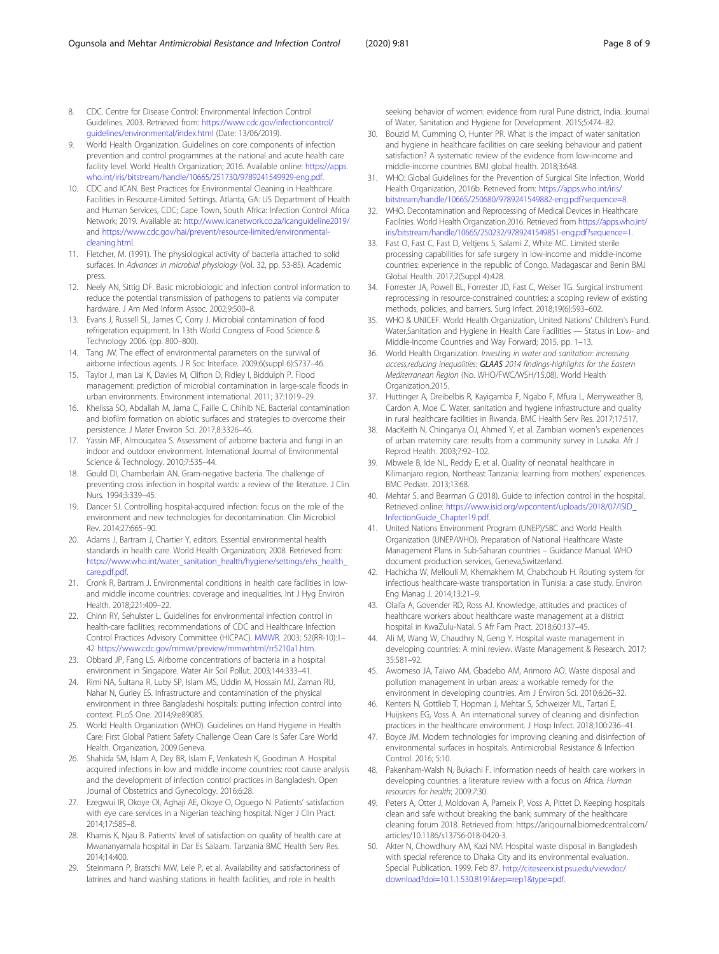- <span id="page-7-0"></span>8. CDC. Centre for Disease Control: Environmental Infection Control Guidelines. 2003. Retrieved from: [https://www.cdc.gov/infectioncontrol/](https://www.cdc.gov/infectioncontrol/guidelines/environmental/index.html) [guidelines/environmental/index.html](https://www.cdc.gov/infectioncontrol/guidelines/environmental/index.html) (Date: 13/06/2019).
- 9. World Health Organization. Guidelines on core components of infection prevention and control programmes at the national and acute health care facility level. World Health Organization; 2016. Available online: [https://apps.](https://apps.who.int/iris/bitstream/handle/10665/251730/9789241549929-eng.pdf) [who.int/iris/bitstream/handle/10665/251730/9789241549929-eng.pdf](https://apps.who.int/iris/bitstream/handle/10665/251730/9789241549929-eng.pdf).
- 10. CDC and ICAN. Best Practices for Environmental Cleaning in Healthcare Facilities in Resource-Limited Settings. Atlanta, GA: US Department of Health and Human Services, CDC; Cape Town, South Africa: Infection Control Africa Network; 2019. Available at: <http://www.icanetwork.co.za/icanguideline2019/> and [https://www.cdc.gov/hai/prevent/resource-limited/environmental](https://www.cdc.gov/hai/prevent/resource-limited/environmental-cleaning.html)[cleaning.html](https://www.cdc.gov/hai/prevent/resource-limited/environmental-cleaning.html).
- 11. Fletcher, M. (1991). The physiological activity of bacteria attached to solid surfaces. In Advances in microbial physiology (Vol. 32, pp. 53-85). Academic press.
- 12. Neely AN, Sittig DF. Basic microbiologic and infection control information to reduce the potential transmission of pathogens to patients via computer hardware. J Am Med Inform Assoc. 2002;9:500–8.
- 13. Evans J, Russell SL, James C, Corry J. Microbial contamination of food refrigeration equipment. In 13th World Congress of Food Science & Technology 2006. (pp. 800–800).
- 14. Tang JW. The effect of environmental parameters on the survival of airborne infectious agents. J R Soc Interface. 2009;6(suppl 6):S737–46.
- 15. Taylor J, man Lai K, Davies M, Clifton D, Ridley I, Biddulph P. Flood management: prediction of microbial contamination in large-scale floods in urban environments. Environment international. 2011; 37:1019–29.
- 16. Khelissa SO, Abdallah M, Jama C, Faille C, Chihib NE. Bacterial contamination and biofilm formation on abiotic surfaces and strategies to overcome their persistence. J Mater Environ Sci. 2017;8:3326–46.
- 17. Yassin MF, Almouqatea S. Assessment of airborne bacteria and fungi in an indoor and outdoor environment. International Journal of Environmental Science & Technology. 2010;7:535–44.
- 18. Gould DI, Chamberlain AN. Gram-negative bacteria. The challenge of preventing cross infection in hospital wards: a review of the literature. J Clin Nurs. 1994;3:339–45.
- 19. Dancer SJ. Controlling hospital-acquired infection: focus on the role of the environment and new technologies for decontamination. Clin Microbiol Rev. 2014;27:665–90.
- 20. Adams J, Bartram J, Chartier Y, editors. Essential environmental health standards in health care. World Health Organization; 2008. Retrieved from: [https://www.who.int/water\\_sanitation\\_health/hygiene/settings/ehs\\_health\\_](https://www.who.int/water_sanitation_health/hygiene/settings/ehs_health_care.pdf.pdf) [care.pdf.pdf.](https://www.who.int/water_sanitation_health/hygiene/settings/ehs_health_care.pdf.pdf)
- 21. Cronk R, Bartram J. Environmental conditions in health care facilities in lowand middle income countries: coverage and inequalities. Int J Hyg Environ Health. 2018;221:409–22.
- 22. Chinn RY, Sehulster L. Guidelines for environmental infection control in health-care facilities; recommendations of CDC and Healthcare Infection Control Practices Advisory Committee (HICPAC). [MMWR](https://www.ncbi.nlm.nih.gov/pubmed/12836624). 2003; 52(RR-10):1– 42 <https://www.cdc.gov/mmwr/preview/mmwrhtml/rr5210a1.htm>.
- 23. Obbard JP, Fang LS. Airborne concentrations of bacteria in a hospital environment in Singapore. Water Air Soil Pollut. 2003;144:333–41.
- 24. Rimi NA, Sultana R, Luby SP, Islam MS, Uddin M, Hossain MJ, Zaman RU, Nahar N, Gurley ES. Infrastructure and contamination of the physical environment in three Bangladeshi hospitals: putting infection control into context. PLoS One. 2014;9:e89085.
- 25. World Health Organization (WHO). Guidelines on Hand Hygiene in Health Care: First Global Patient Safety Challenge Clean Care Is Safer Care World Health. Organization, 2009.Geneva.
- 26. Shahida SM, Islam A, Dey BR, Islam F, Venkatesh K, Goodman A. Hospital acquired infections in low and middle income countries: root cause analysis and the development of infection control practices in Bangladesh. Open Journal of Obstetrics and Gynecology. 2016;6:28.
- 27. Ezegwui IR, Okoye OI, Aghaji AE, Okoye O, Oguego N. Patients' satisfaction with eye care services in a Nigerian teaching hospital. Niger J Clin Pract. 2014;17:585–8.
- 28. Khamis K, Njau B. Patients' level of satisfaction on quality of health care at Mwananyamala hospital in Dar Es Salaam. Tanzania BMC Health Serv Res. 2014;14:400.
- 29. Steinmann P, Bratschi MW, Lele P, et al. Availability and satisfactoriness of latrines and hand washing stations in health facilities, and role in health

seeking behavior of women: evidence from rural Pune district, India. Journal of Water, Sanitation and Hygiene for Development. 2015;5:474–82.

- 30. Bouzid M, Cumming O, Hunter PR. What is the impact of water sanitation and hygiene in healthcare facilities on care seeking behaviour and patient satisfaction? A systematic review of the evidence from low-income and middle-income countries BMJ global health. 2018;3:648.
- 31. WHO: Global Guidelines for the Prevention of Surgical Site Infection. World Health Organization, 2016b. Retrieved from: [https://apps.who.int/iris/](https://apps.who.int/iris/bitstream/handle/10665/250680/9789241549882-eng.pdf?sequence=8) [bitstream/handle/10665/250680/9789241549882-eng.pdf?sequence=8](https://apps.who.int/iris/bitstream/handle/10665/250680/9789241549882-eng.pdf?sequence=8).
- 32. WHO. Decontamination and Reprocessing of Medical Devices in Healthcare Facilities. World Health Organization.2016. Retrieved from [https://apps.who.int/](https://apps.who.int/iris/bitstream/handle/10665/250232/9789241549851-eng.pdf?sequence=1) [iris/bitstream/handle/10665/250232/9789241549851-eng.pdf?sequence=1](https://apps.who.int/iris/bitstream/handle/10665/250232/9789241549851-eng.pdf?sequence=1).
- 33. Fast O, Fast C, Fast D, Veltjens S, Salami Z, White MC. Limited sterile processing capabilities for safe surgery in low-income and middle-income countries: experience in the republic of Congo. Madagascar and Benin BMJ Global Health. 2017;2(Suppl 4):428.
- 34. Forrester JA, Powell BL, Forrester JD, Fast C, Weiser TG. Surgical instrument reprocessing in resource-constrained countries: a scoping review of existing methods, policies, and barriers. Surg Infect. 2018;19(6):593–602.
- 35. WHO & UNICEF. World Health Organization, United Nations' Children's Fund. Water,Sanitation and Hygiene in Health Care Facilities — Status in Low- and Middle-Income Countries and Way Forward; 2015. pp. 1–13.
- 36. World Health Organization. Investing in water and sanitation: increasing access,reducing inequalities: GLAAS 2014 findings-highlights for the Eastern Mediterranean Region (No. WHO/FWC/WSH/15.08). World Health Organization.2015.
- 37. Huttinger A, Dreibelbis R, Kayigamba F, Ngabo F, Mfura L, Merryweather B, Cardon A, Moe C. Water, sanitation and hygiene infrastructure and quality in rural healthcare facilities in Rwanda. BMC Health Serv Res. 2017;17:517.
- 38. MacKeith N, Chinganya OJ, Ahmed Y, et al. Zambian women's experiences of urban maternity care: results from a community survey in Lusaka. Afr J Reprod Health. 2003;7:92–102.
- 39. Mbwele B, Ide NL, Reddy E, et al. Quality of neonatal healthcare in Kilimanjaro region, Northeast Tanzania: learning from mothers' experiences. BMC Pediatr. 2013;13:68.
- 40. Mehtar S. and Bearman G (2018). Guide to infection control in the hospital. Retrieved online: [https://www.isid.org/wpcontent/uploads/2018/07/ISID\\_](https://www.isid.org/wpcontent/uploads/2018/07/ISID_InfectionGuide_Chapter19.pdf) [InfectionGuide\\_Chapter19.pdf](https://www.isid.org/wpcontent/uploads/2018/07/ISID_InfectionGuide_Chapter19.pdf).
- 41. United Nations Environment Program (UNEP)/SBC and World Health Organization (UNEP/WHO). Preparation of National Healthcare Waste Management Plans in Sub-Saharan countries – Guidance Manual. WHO document production services, Geneva,Switzerland.
- 42. Hachicha W, Mellouli M, Khemakhem M, Chabchoub H. Routing system for infectious healthcare-waste transportation in Tunisia: a case study. Environ Eng Manag J. 2014;13:21–9.
- 43. Olaifa A, Govender RD, Ross AJ. Knowledge, attitudes and practices of healthcare workers about healthcare waste management at a district hospital in KwaZulu-Natal. S Afr Fam Pract. 2018;60:137–45.
- 44. Ali M, Wang W, Chaudhry N, Geng Y. Hospital waste management in developing countries: A mini review. Waste Management & Research. 2017; 35:581–92.
- 45. Awomeso JA, Taiwo AM, Gbadebo AM, Arimoro AO. Waste disposal and pollution management in urban areas: a workable remedy for the environment in developing countries. Am J Environ Sci. 2010;6:26–32.
- 46. Kenters N, Gottlieb T, Hopman J, Mehtar S, Schweizer ML, Tartari E, Huijskens EG, Voss A. An international survey of cleaning and disinfection practices in the healthcare environment. J Hosp Infect. 2018;100:236–41.
- 47. Boyce JM. Modern technologies for improving cleaning and disinfection of environmental surfaces in hospitals. Antimicrobial Resistance & Infection Control. 2016; 5:10.
- 48. Pakenham-Walsh N, Bukachi F. Information needs of health care workers in developing countries: a literature review with a focus on Africa. Human resources for health; 2009:7:30.
- 49. Peters A, Otter J, Moldovan A, Parneix P, Voss A, Pittet D. Keeping hospitals clean and safe without breaking the bank; summary of the healthcare cleaning forum 2018. Retrieved from: https://aricjournal.biomedcentral.com/ articles/10.1186/s13756-018-0420-3.
- 50. Akter N, Chowdhury AM, Kazi NM. Hospital waste disposal in Bangladesh with special reference to Dhaka City and its environmental evaluation. Special Publication. 1999. Feb 87. [http://citeseerx.ist.psu.edu/viewdoc/](http://citeseerx.ist.psu.edu/viewdoc/download?doi=10.1.1.530.8191&rep=rep1&type=pdf) [download?doi=10.1.1.530.8191&rep=rep1&type=pdf](http://citeseerx.ist.psu.edu/viewdoc/download?doi=10.1.1.530.8191&rep=rep1&type=pdf).